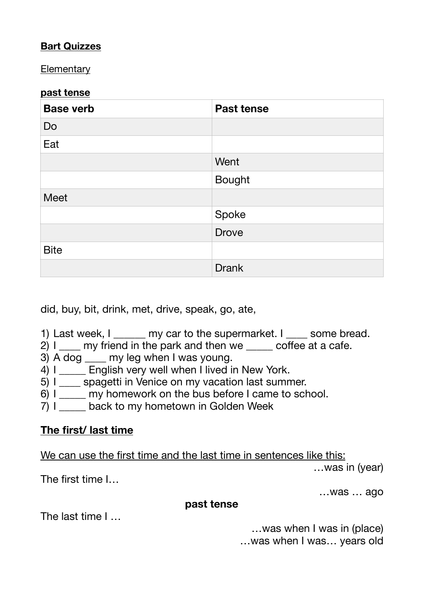## **Bart Quizzes**

**Elementary** 

#### **past tense**

| <b>Base verb</b> | <b>Past tense</b> |  |
|------------------|-------------------|--|
| Do               |                   |  |
| Eat              |                   |  |
|                  | Went              |  |
|                  | <b>Bought</b>     |  |
| <b>Meet</b>      |                   |  |
|                  | Spoke             |  |
|                  | <b>Drove</b>      |  |
| <b>Bite</b>      |                   |  |
|                  | <b>Drank</b>      |  |

did, buy, bit, drink, met, drive, speak, go, ate,

- 1) Last week, I and my car to the supermarket. I also some bread.
- $2)$  I any friend in the park and then we coffee at a cafe.
- 3) A dog \_\_\_\_ my leg when I was young.
- 4) I \_\_\_\_\_ English very well when I lived in New York.
- 5) I spagetti in Venice on my vacation last summer.
- 6) I \_\_\_\_\_ my homework on the bus before I came to school.
- 7) I back to my hometown in Golden Week

# **The first/ last time**

We can use the first time and the last time in sentences like this:

…was in (year)

The first time I…

…was … ago

#### **past tense**

The last time I …

…was when I was in (place) …was when I was… years old